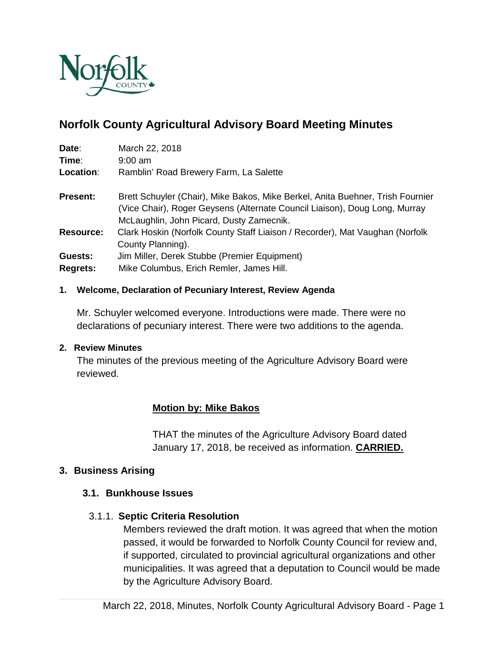

# **Norfolk County Agricultural Advisory Board Meeting Minutes**

| Date:                      | March 22, 2018                                                                                                                                                                                           |
|----------------------------|----------------------------------------------------------------------------------------------------------------------------------------------------------------------------------------------------------|
| Time:                      | $9:00$ am                                                                                                                                                                                                |
| Location:                  | Ramblin' Road Brewery Farm, La Salette                                                                                                                                                                   |
| <b>Present:</b>            | Brett Schuyler (Chair), Mike Bakos, Mike Berkel, Anita Buehner, Trish Fournier<br>(Vice Chair), Roger Geysens (Alternate Council Liaison), Doug Long, Murray<br>McLaughlin, John Picard, Dusty Zamecnik. |
| <b>Resource:</b>           | Clark Hoskin (Norfolk County Staff Liaison / Recorder), Mat Vaughan (Norfolk<br>County Planning).                                                                                                        |
| Guests:<br><b>Regrets:</b> | Jim Miller, Derek Stubbe (Premier Equipment)<br>Mike Columbus, Erich Remler, James Hill.                                                                                                                 |

#### **1. Welcome, Declaration of Pecuniary Interest, Review Agenda**

Mr. Schuyler welcomed everyone. Introductions were made. There were no declarations of pecuniary interest. There were two additions to the agenda.

#### **2. Review Minutes**

The minutes of the previous meeting of the Agriculture Advisory Board were reviewed.

### **Motion by: Mike Bakos**

THAT the minutes of the Agriculture Advisory Board dated January 17, 2018, be received as information. **CARRIED.**

### **3. Business Arising**

### **3.1. Bunkhouse Issues**

### 3.1.1. **Septic Criteria Resolution**

Members reviewed the draft motion. It was agreed that when the motion passed, it would be forwarded to Norfolk County Council for review and, if supported, circulated to provincial agricultural organizations and other municipalities. It was agreed that a deputation to Council would be made by the Agriculture Advisory Board.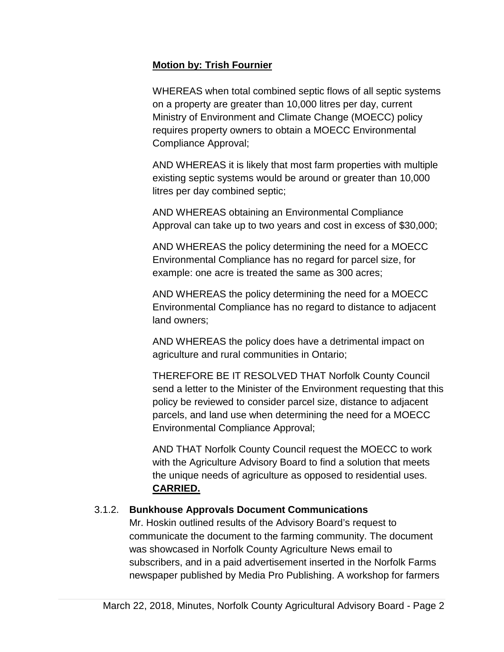### **Motion by: Trish Fournier**

WHEREAS when total combined septic flows of all septic systems on a property are greater than 10,000 litres per day, current Ministry of Environment and Climate Change (MOECC) policy requires property owners to obtain a MOECC Environmental Compliance Approval;

AND WHEREAS it is likely that most farm properties with multiple existing septic systems would be around or greater than 10,000 litres per day combined septic;

AND WHEREAS obtaining an Environmental Compliance Approval can take up to two years and cost in excess of \$30,000;

AND WHEREAS the policy determining the need for a MOECC Environmental Compliance has no regard for parcel size, for example: one acre is treated the same as 300 acres;

AND WHEREAS the policy determining the need for a MOECC Environmental Compliance has no regard to distance to adjacent land owners;

AND WHEREAS the policy does have a detrimental impact on agriculture and rural communities in Ontario;

THEREFORE BE IT RESOLVED THAT Norfolk County Council send a letter to the Minister of the Environment requesting that this policy be reviewed to consider parcel size, distance to adjacent parcels, and land use when determining the need for a MOECC Environmental Compliance Approval;

AND THAT Norfolk County Council request the MOECC to work with the Agriculture Advisory Board to find a solution that meets the unique needs of agriculture as opposed to residential uses. **CARRIED.**

# 3.1.2. **Bunkhouse Approvals Document Communications**

Mr. Hoskin outlined results of the Advisory Board's request to communicate the document to the farming community. The document was showcased in Norfolk County Agriculture News email to subscribers, and in a paid advertisement inserted in the Norfolk Farms newspaper published by Media Pro Publishing. A workshop for farmers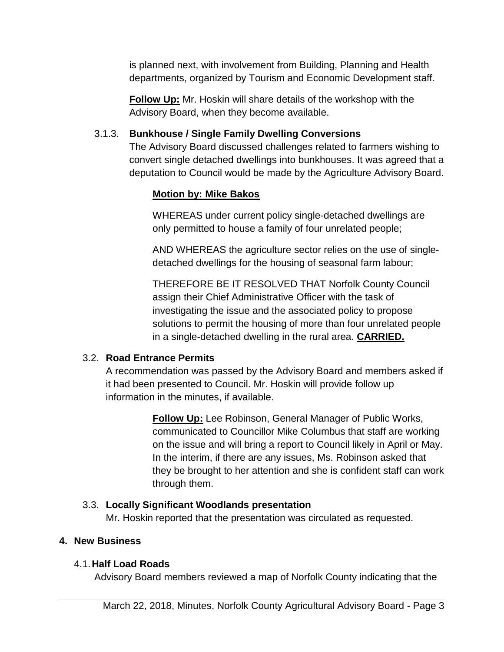is planned next, with involvement from Building, Planning and Health departments, organized by Tourism and Economic Development staff.

**Follow Up:** Mr. Hoskin will share details of the workshop with the Advisory Board, when they become available.

# 3.1.3. **Bunkhouse / Single Family Dwelling Conversions**

The Advisory Board discussed challenges related to farmers wishing to convert single detached dwellings into bunkhouses. It was agreed that a deputation to Council would be made by the Agriculture Advisory Board.

# **Motion by: Mike Bakos**

WHEREAS under current policy single-detached dwellings are only permitted to house a family of four unrelated people;

AND WHEREAS the agriculture sector relies on the use of singledetached dwellings for the housing of seasonal farm labour;

THEREFORE BE IT RESOLVED THAT Norfolk County Council assign their Chief Administrative Officer with the task of investigating the issue and the associated policy to propose solutions to permit the housing of more than four unrelated people in a single-detached dwelling in the rural area. **CARRIED.**

### 3.2. **Road Entrance Permits**

A recommendation was passed by the Advisory Board and members asked if it had been presented to Council. Mr. Hoskin will provide follow up information in the minutes, if available.

> **Follow Up:** Lee Robinson, General Manager of Public Works, communicated to Councillor Mike Columbus that staff are working on the issue and will bring a report to Council likely in April or May. In the interim, if there are any issues, Ms. Robinson asked that they be brought to her attention and she is confident staff can work through them.

# 3.3. **Locally Significant Woodlands presentation**

Mr. Hoskin reported that the presentation was circulated as requested.

# **4. New Business**

### 4.1.**Half Load Roads**

Advisory Board members reviewed a map of Norfolk County indicating that the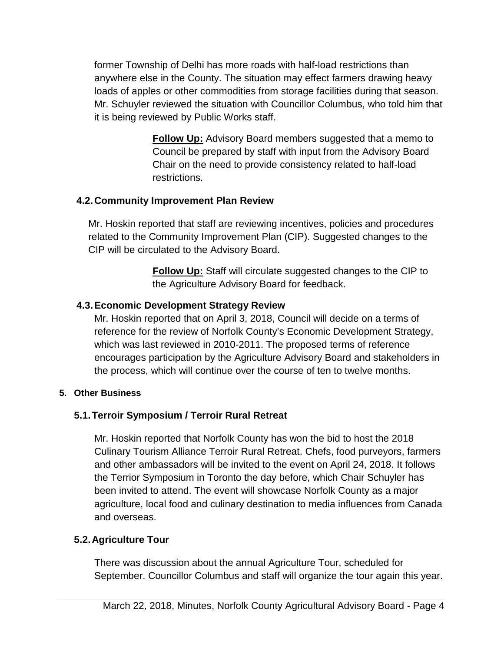former Township of Delhi has more roads with half-load restrictions than anywhere else in the County. The situation may effect farmers drawing heavy loads of apples or other commodities from storage facilities during that season. Mr. Schuyler reviewed the situation with Councillor Columbus, who told him that it is being reviewed by Public Works staff.

> **Follow Up:** Advisory Board members suggested that a memo to Council be prepared by staff with input from the Advisory Board Chair on the need to provide consistency related to half-load restrictions.

# **4.2.Community Improvement Plan Review**

Mr. Hoskin reported that staff are reviewing incentives, policies and procedures related to the Community Improvement Plan (CIP). Suggested changes to the CIP will be circulated to the Advisory Board.

> **Follow Up:** Staff will circulate suggested changes to the CIP to the Agriculture Advisory Board for feedback.

# **4.3.Economic Development Strategy Review**

Mr. Hoskin reported that on April 3, 2018, Council will decide on a terms of reference for the review of Norfolk County's Economic Development Strategy, which was last reviewed in 2010-2011. The proposed terms of reference encourages participation by the Agriculture Advisory Board and stakeholders in the process, which will continue over the course of ten to twelve months.

### **5. Other Business**

# **5.1.Terroir Symposium / Terroir Rural Retreat**

Mr. Hoskin reported that Norfolk County has won the bid to host the 2018 Culinary Tourism Alliance Terroir Rural Retreat. Chefs, food purveyors, farmers and other ambassadors will be invited to the event on April 24, 2018. It follows the Terrior Symposium in Toronto the day before, which Chair Schuyler has been invited to attend. The event will showcase Norfolk County as a major agriculture, local food and culinary destination to media influences from Canada and overseas.

# **5.2.Agriculture Tour**

There was discussion about the annual Agriculture Tour, scheduled for September. Councillor Columbus and staff will organize the tour again this year.